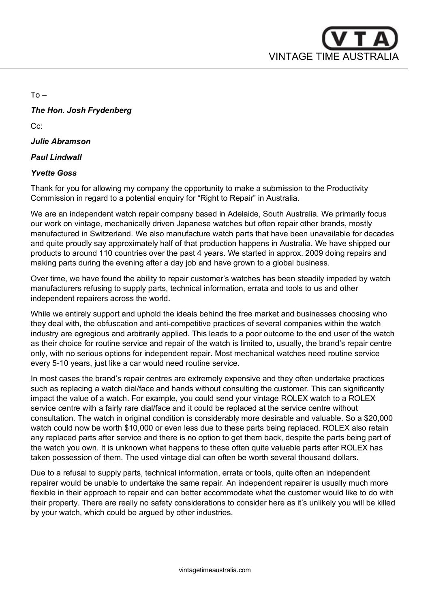

 $To -$ 

## *The Hon. Josh Frydenberg*

C<sub>c</sub>:

## *Julie Abramson*

#### *Paul Lindwall*

#### *Yvette Goss*

Thank for you for allowing my company the opportunity to make a submission to the Productivity Commission in regard to a potential enquiry for "Right to Repair" in Australia.

We are an independent watch repair company based in Adelaide, South Australia. We primarily focus our work on vintage, mechanically driven Japanese watches but often repair other brands, mostly manufactured in Switzerland. We also manufacture watch parts that have been unavailable for decades and quite proudly say approximately half of that production happens in Australia. We have shipped our products to around 110 countries over the past 4 years. We started in approx. 2009 doing repairs and making parts during the evening after a day job and have grown to a global business.

Over time, we have found the ability to repair customer's watches has been steadily impeded by watch manufacturers refusing to supply parts, technical information, errata and tools to us and other independent repairers across the world.

While we entirely support and uphold the ideals behind the free market and businesses choosing who they deal with, the obfuscation and anti-competitive practices of several companies within the watch industry are egregious and arbitrarily applied. This leads to a poor outcome to the end user of the watch as their choice for routine service and repair of the watch is limited to, usually, the brand's repair centre only, with no serious options for independent repair. Most mechanical watches need routine service every 5-10 years, just like a car would need routine service.

In most cases the brand's repair centres are extremely expensive and they often undertake practices such as replacing a watch dial/face and hands without consulting the customer. This can significantly impact the value of a watch. For example, you could send your vintage ROLEX watch to a ROLEX service centre with a fairly rare dial/face and it could be replaced at the service centre without consultation. The watch in original condition is considerably more desirable and valuable. So a \$20,000 watch could now be worth \$10,000 or even less due to these parts being replaced. ROLEX also retain any replaced parts after service and there is no option to get them back, despite the parts being part of the watch you own. It is unknown what happens to these often quite valuable parts after ROLEX has taken possession of them. The used vintage dial can often be worth several thousand dollars.

Due to a refusal to supply parts, technical information, errata or tools, quite often an independent repairer would be unable to undertake the same repair. An independent repairer is usually much more flexible in their approach to repair and can better accommodate what the customer would like to do with their property. There are really no safety considerations to consider here as it's unlikely you will be killed by your watch, which could be argued by other industries.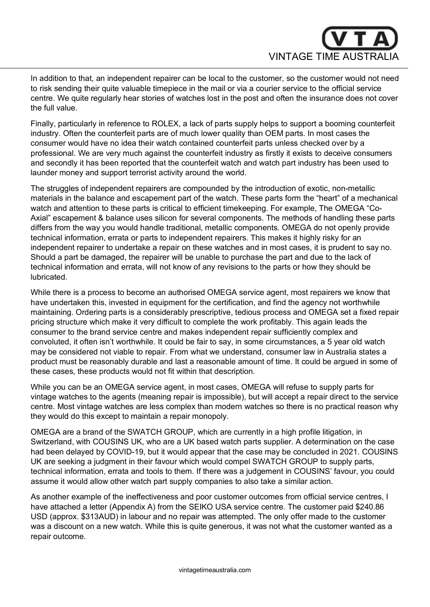

In addition to that, an independent repairer can be local to the customer, so the customer would not need to risk sending their quite valuable timepiece in the mail or via a courier service to the official service centre. We quite regularly hear stories of watches lost in the post and often the insurance does not cover the full value.

Finally, particularly in reference to ROLEX, a lack of parts supply helps to support a booming counterfeit industry. Often the counterfeit parts are of much lower quality than OEM parts. In most cases the consumer would have no idea their watch contained counterfeit parts unless checked over by a professional. We are very much against the counterfeit industry as firstly it exists to deceive consumers and secondly it has been reported that the counterfeit watch and watch part industry has been used to launder money and support terrorist activity around the world.

The struggles of independent repairers are compounded by the introduction of exotic, non-metallic materials in the balance and escapement part of the watch. These parts form the "heart" of a mechanical watch and attention to these parts is critical to efficient timekeeping. For example, The OMEGA "Co-Axial" escapement & balance uses silicon for several components. The methods of handling these parts differs from the way you would handle traditional, metallic components. OMEGA do not openly provide technical information, errata or parts to independent repairers. This makes it highly risky for an independent repairer to undertake a repair on these watches and in most cases, it is prudent to say no. Should a part be damaged, the repairer will be unable to purchase the part and due to the lack of technical information and errata, will not know of any revisions to the parts or how they should be lubricated.

While there is a process to become an authorised OMEGA service agent, most repairers we know that have undertaken this, invested in equipment for the certification, and find the agency not worthwhile maintaining. Ordering parts is a considerably prescriptive, tedious process and OMEGA set a fixed repair pricing structure which make it very difficult to complete the work profitably. This again leads the consumer to the brand service centre and makes independent repair sufficiently complex and convoluted, it often isn't worthwhile. It could be fair to say, in some circumstances, a 5 year old watch may be considered not viable to repair. From what we understand, consumer law in Australia states a product must be reasonably durable and last a reasonable amount of time. It could be argued in some of these cases, these products would not fit within that description.

While you can be an OMEGA service agent, in most cases, OMEGA will refuse to supply parts for vintage watches to the agents (meaning repair is impossible), but will accept a repair direct to the service centre. Most vintage watches are less complex than modern watches so there is no practical reason why they would do this except to maintain a repair monopoly.

OMEGA are a brand of the SWATCH GROUP, which are currently in a high profile litigation, in Switzerland, with COUSINS UK, who are a UK based watch parts supplier. A determination on the case had been delayed by COVID-19, but it would appear that the case may be concluded in 2021. COUSINS UK are seeking a judgment in their favour which would compel SWATCH GROUP to supply parts, technical information, errata and tools to them. If there was a judgement in COUSINS' favour, you could assume it would allow other watch part supply companies to also take a similar action.

As another example of the ineffectiveness and poor customer outcomes from official service centres, I have attached a letter (Appendix A) from the SEIKO USA service centre. The customer paid \$240.86 USD (approx. \$313AUD) in labour and no repair was attempted. The only offer made to the customer was a discount on a new watch. While this is quite generous, it was not what the customer wanted as a repair outcome.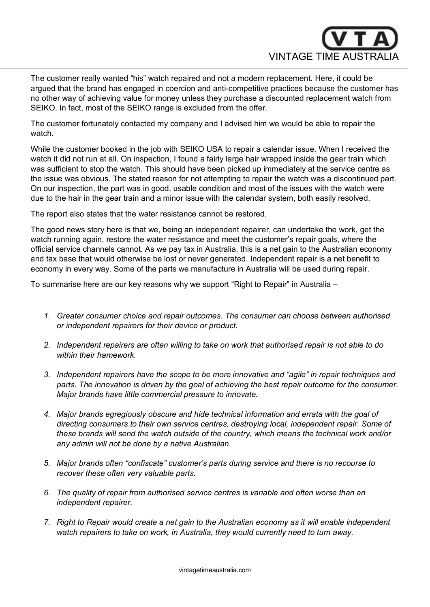

The customer really wanted "his" watch repaired and not a modern replacement. Here, it could be argued that the brand has engaged in coercion and anti-competitive practices because the customer has no other way of achieving value for money unless they purchase a discounted replacement watch from SEIKO. In fact, most of the SEIKO range is excluded from the offer.

The customer fortunately contacted my company and I advised him we would be able to repair the watch.

While the customer booked in the job with SEIKO USA to repair a calendar issue. When I received the watch it did not run at all. On inspection, I found a fairly large hair wrapped inside the gear train which was sufficient to stop the watch. This should have been picked up immediately at the service centre as the issue was obvious. The stated reason for not attempting to repair the watch was a discontinued part. On our inspection, the part was in good, usable condition and most of the issues with the watch were due to the hair in the gear train and a minor issue with the calendar system, both easily resolved.

The report also states that the water resistance cannot be restored.

The good news story here is that we, being an independent repairer, can undertake the work, get the watch running again, restore the water resistance and meet the customer's repair goals, where the official service channels cannot. As we pay tax in Australia, this is a net gain to the Australian economy and tax base that would otherwise be lost or never generated. Independent repair is a net benefit to economy in every way. Some of the parts we manufacture in Australia will be used during repair.

To summarise here are our key reasons why we support "Right to Repair" in Australia –

- *1. Greater consumer choice and repair outcomes. The consumer can choose between authorised or independent repairers for their device or product.*
- *2. Independent repairers are often willing to take on work that authorised repair is not able to do within their framework.*
- *3. Independent repairers have the scope to be more innovative and "agile" in repair techniques and parts. The innovation is driven by the goal of achieving the best repair outcome for the consumer. Major brands have little commercial pressure to innovate.*
- *4. Major brands egregiously obscure and hide technical information and errata with the goal of directing consumers to their own service centres, destroying local, independent repair. Some of these brands will send the watch outside of the country, which means the technical work and/or any admin will not be done by a native Australian.*
- *5. Major brands often "confiscate" customer's parts during service and there is no recourse to recover these often very valuable parts.*
- *6. The quality of repair from authorised service centres is variable and often worse than an independent repairer.*
- *7. Right to Repair would create a net gain to the Australian economy as it will enable independent watch repairers to take on work, in Australia, they would currently need to turn away.*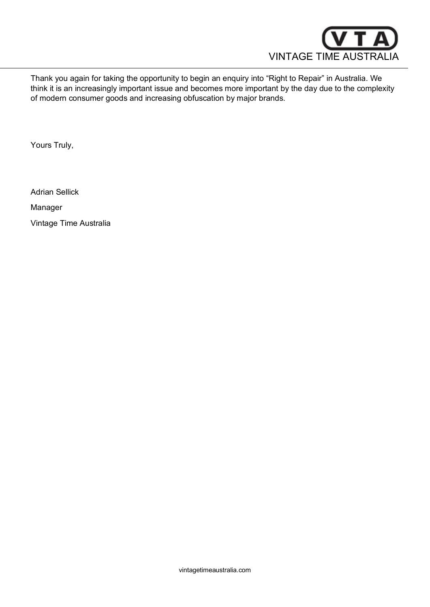

Thank you again for taking the opportunity to begin an enquiry into "Right to Repair" in Australia. We think it is an increasingly important issue and becomes more important by the day due to the complexity of modern consumer goods and increasing obfuscation by major brands.

Yours Truly,

Adrian Sellick

Manager

Vintage Time Australia